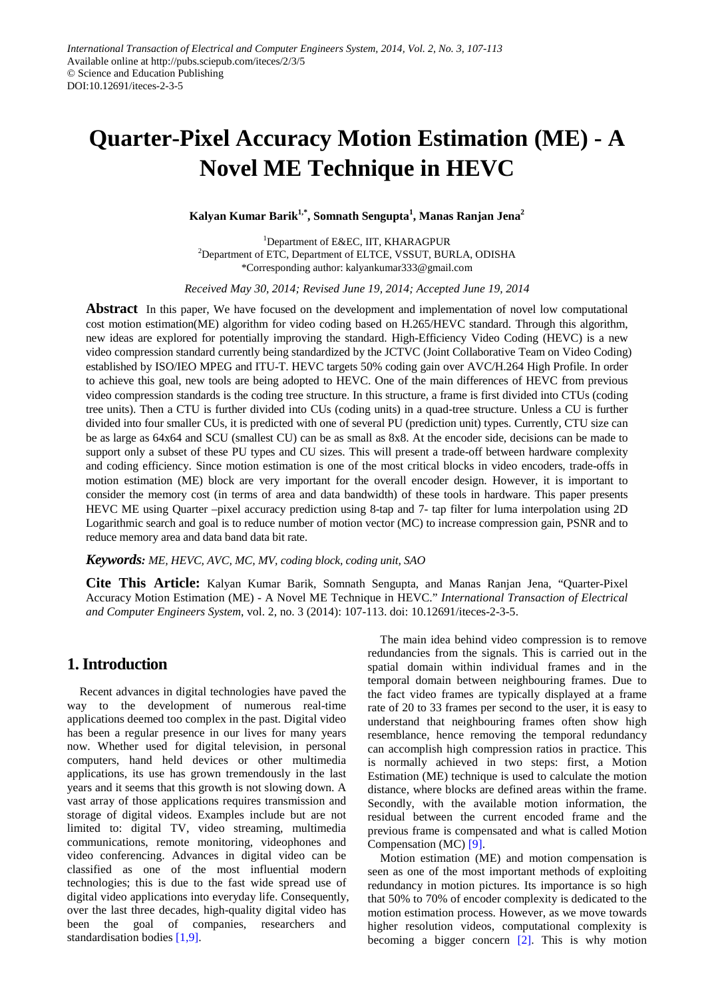# **Quarter-Pixel Accuracy Motion Estimation (ME) - A Novel ME Technique in HEVC**

**Kalyan Kumar Barik1,\*, Somnath Sengupta1 , Manas Ranjan Jena<sup>2</sup>**

<sup>1</sup>Department of E&EC, IIT, KHARAGPUR <sup>2</sup>Department of ETC, Department of ELTCE, VSSUT, BURLA, ODISHA \*Corresponding author: kalyankumar333@gmail.com

*Received May 30, 2014; Revised June 19, 2014; Accepted June 19, 2014*

**Abstract** In this paper, We have focused on the development and implementation of novel low computational cost motion estimation(ME) algorithm for video coding based on H.265/HEVC standard. Through this algorithm, new ideas are explored for potentially improving the standard. High-Efficiency Video Coding (HEVC) is a new video compression standard currently being standardized by the JCTVC (Joint Collaborative Team on Video Coding) established by ISO/IEO MPEG and ITU-T. HEVC targets 50% coding gain over AVC/H.264 High Profile. In order to achieve this goal, new tools are being adopted to HEVC. One of the main differences of HEVC from previous video compression standards is the coding tree structure. In this structure, a frame is first divided into CTUs (coding tree units). Then a CTU is further divided into CUs (coding units) in a quad-tree structure. Unless a CU is further divided into four smaller CUs, it is predicted with one of several PU (prediction unit) types. Currently, CTU size can be as large as 64x64 and SCU (smallest CU) can be as small as 8x8. At the encoder side, decisions can be made to support only a subset of these PU types and CU sizes. This will present a trade-off between hardware complexity and coding efficiency. Since motion estimation is one of the most critical blocks in video encoders, trade-offs in motion estimation (ME) block are very important for the overall encoder design. However, it is important to consider the memory cost (in terms of area and data bandwidth) of these tools in hardware. This paper presents HEVC ME using Quarter –pixel accuracy prediction using 8-tap and 7- tap filter for luma interpolation using 2D Logarithmic search and goal is to reduce number of motion vector (MC) to increase compression gain, PSNR and to reduce memory area and data band data bit rate.

*Keywords: ME, HEVC, AVC, MC, MV, coding block, coding unit, SAO*

**Cite This Article:** Kalyan Kumar Barik, Somnath Sengupta, and Manas Ranjan Jena, "Quarter-Pixel Accuracy Motion Estimation (ME) - A Novel ME Technique in HEVC." *International Transaction of Electrical and Computer Engineers System*, vol. 2, no. 3 (2014): 107-113. doi: 10.12691/iteces-2-3-5.

# **1. Introduction**

Recent advances in digital technologies have paved the way to the development of numerous real-time applications deemed too complex in the past. Digital video has been a regular presence in our lives for many years now. Whether used for digital television, in personal computers, hand held devices or other multimedia applications, its use has grown tremendously in the last years and it seems that this growth is not slowing down. A vast array of those applications requires transmission and storage of digital videos. Examples include but are not limited to: digital TV, video streaming, multimedia communications, remote monitoring, videophones and video conferencing. Advances in digital video can be classified as one of the most influential modern technologies; this is due to the fast wide spread use of digital video applications into everyday life. Consequently, over the last three decades, high-quality digital video has been the goal of companies, researchers and standardisation bodies [\[1,9\].](#page-6-0)

The main idea behind video compression is to remove redundancies from the signals. This is carried out in the spatial domain within individual frames and in the temporal domain between neighbouring frames. Due to the fact video frames are typically displayed at a frame rate of 20 to 33 frames per second to the user, it is easy to understand that neighbouring frames often show high resemblance, hence removing the temporal redundancy can accomplish high compression ratios in practice. This is normally achieved in two steps: first, a Motion Estimation (ME) technique is used to calculate the motion distance, where blocks are defined areas within the frame. Secondly, with the available motion information, the residual between the current encoded frame and the previous frame is compensated and what is called Motion Compensation (MC) [\[9\].](#page-6-1)

Motion estimation (ME) and motion compensation is seen as one of the most important methods of exploiting redundancy in motion pictures. Its importance is so high that 50% to 70% of encoder complexity is dedicated to the motion estimation process. However, as we move towards higher resolution videos, computational complexity is becoming a bigger concern [\[2\].](#page-6-2) This is why motion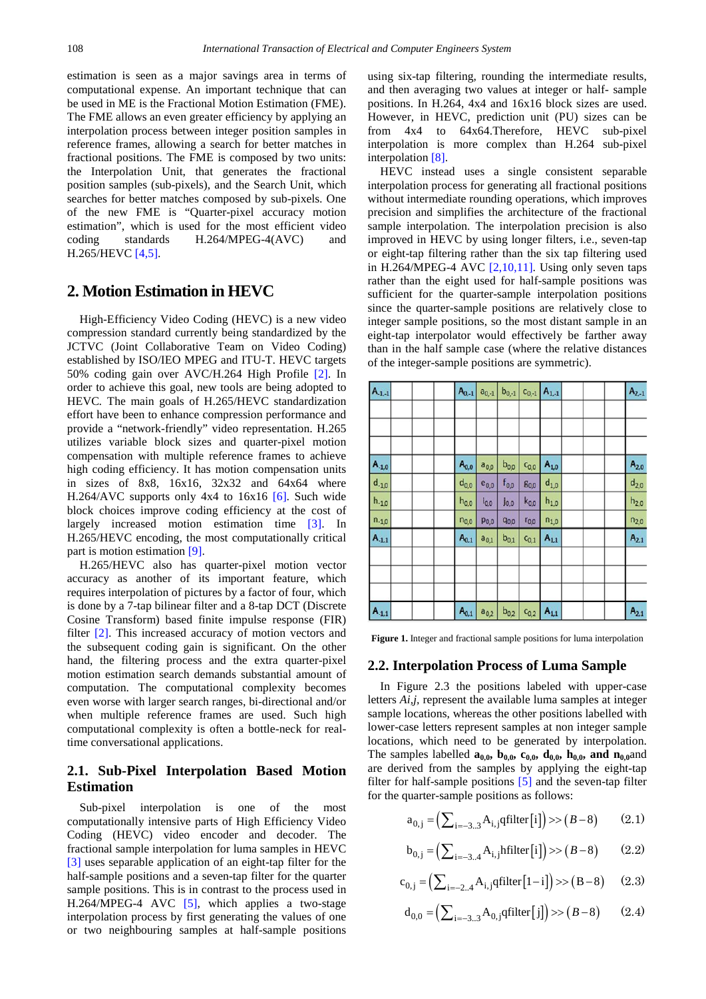estimation is seen as a major savings area in terms of computational expense. An important technique that can be used in ME is the Fractional Motion Estimation (FME). The FME allows an even greater efficiency by applying an interpolation process between integer position samples in reference frames, allowing a search for better matches in fractional positions. The FME is composed by two units: the Interpolation Unit, that generates the fractional position samples (sub-pixels), and the Search Unit, which searches for better matches composed by sub-pixels. One of the new FME is "Quarter-pixel accuracy motion estimation", which is used for the most efficient video coding standards H.264/MPEG-4(AVC) and H.265/HEVC [\[4,5\].](#page-6-3)

# **2. Motion Estimation in HEVC**

High-Efficiency Video Coding (HEVC) is a new video compression standard currently being standardized by the JCTVC (Joint Collaborative Team on Video Coding) established by ISO/IEO MPEG and ITU-T. HEVC targets 50% coding gain over AVC/H.264 High Profile [\[2\].](#page-6-2) In order to achieve this goal, new tools are being adopted to HEVC*.* The main goals of H.265/HEVC standardization effort have been to enhance compression performance and provide a "network-friendly" video representation. H.265 utilizes variable block sizes and quarter-pixel motion compensation with multiple reference frames to achieve high coding efficiency. It has motion compensation units in sizes of 8x8, 16x16, 32x32 and 64x64 where H.264/AVC supports only  $4x4$  to  $16x16$  [\[6\].](#page-6-4) Such wide block choices improve coding efficiency at the cost of largely increased motion estimation time [\[3\].](#page-6-5) In H.265/HEVC encoding, the most computationally critical part is motion estimation [\[9\].](#page-6-1)

H.265/HEVC also has quarter-pixel motion vector accuracy as another of its important feature, which requires interpolation of pictures by a factor of four, which is done by a 7-tap bilinear filter and a 8-tap DCT (Discrete Cosine Transform) based finite impulse response (FIR) filter [\[2\].](#page-6-2) This increased accuracy of motion vectors and the subsequent coding gain is significant. On the other hand, the filtering process and the extra quarter-pixel motion estimation search demands substantial amount of computation. The computational complexity becomes even worse with larger search ranges, bi-directional and/or when multiple reference frames are used. Such high computational complexity is often a bottle-neck for realtime conversational applications.

#### **2.1. Sub-Pixel Interpolation Based Motion Estimation**

Sub-pixel interpolation is one of the most computationally intensive parts of High Efficiency Video Coding (HEVC) video encoder and decoder. The fractional sample interpolation for luma samples in HEVC [\[3\]](#page-6-5) uses separable application of an eight-tap filter for the half-sample positions and a seven-tap filter for the quarter sample positions. This is in contrast to the process used in H.264/MPEG-4 AVC [\[5\],](#page-6-6) which applies a two-stage interpolation process by first generating the values of one or two neighbouring samples at half-sample positions using six-tap filtering, rounding the intermediate results, and then averaging two values at integer or half- sample positions. In H.264, 4x4 and 16x16 block sizes are used. However, in HEVC, prediction unit (PU) sizes can be from 4x4 to 64x64.Therefore, HEVC sub-pixel interpolation is more complex than H.264 sub-pixel interpolation [\[8\].](#page-6-7)

HEVC instead uses a single consistent separable interpolation process for generating all fractional positions without intermediate rounding operations, which improves precision and simplifies the architecture of the fractional sample interpolation. The interpolation precision is also improved in HEVC by using longer filters, i.e., seven-tap or eight-tap filtering rather than the six tap filtering used in H.264/MPEG-4 AVC  $[2,10,11]$ . Using only seven taps rather than the eight used for half-sample positions was sufficient for the quarter-sample interpolation positions since the quarter-sample positions are relatively close to integer sample positions, so the most distant sample in an eight-tap interpolator would effectively be farther away than in the half sample case (where the relative distances of the integer-sample positions are symmetric).

| $A_{1,1}$  | $A_{0,-1}$ | $a_{0,-1}$ | $b_{0,-1}$ |           | $C_{0,-1}$ $A_{1,-1}$ | $A_{2,-1}$ |
|------------|------------|------------|------------|-----------|-----------------------|------------|
|            |            |            |            |           |                       |            |
|            |            |            |            |           |                       |            |
| $A_{.1,0}$ | $A_{0,0}$  | $a_{0,0}$  | $b_{0,0}$  | $C_{0,0}$ | $A_{1,0}$             | $A_{2,0}$  |
| $d_{-1,0}$ | $d_{0,0}$  | $e_{0,0}$  | $f_{0,0}$  | 80,0      | $d_{1,0}$             | $d_{2,0}$  |
| $h_{-1,0}$ | $h_{0,0}$  | $i_{0,0}$  | jo,o       | $k_{0,0}$ | $h_{1,0}$             | $h_{2,0}$  |
| $n_{-1,0}$ | $n_{0,0}$  | $p_{0,0}$  | 90,0       | $r_{0,0}$ | $n_{1,0}$             | $n_{2,0}$  |
| $A_{-1,1}$ | $A_{0,1}$  | $a_{0,1}$  | $b_{0,1}$  | $C_{0,1}$ | $A_{11}$              | $A_{2,1}$  |
|            |            |            |            |           |                       |            |
|            |            |            |            |           |                       |            |
|            |            |            |            |           |                       |            |
| $A_{-1,1}$ | $A_{0,1}$  | $a_{0,2}$  | $b_{0,2}$  | $C_{0,2}$ | $A_{1,1}$             | $A_{2,1}$  |

**Figure 1.** Integer and fractional sample positions for luma interpolation

#### **2.2. Interpolation Process of Luma Sample**

In Figure 2.3 the positions labeled with upper-case letters *Ai,j,* represent the available luma samples at integer sample locations, whereas the other positions labelled with lower-case letters represent samples at non integer sample locations, which need to be generated by interpolation. The samples labelled  $a_{0,0}$ ,  $b_{0,0}$ ,  $c_{0,0}$ ,  $d_{0,0}$ ,  $h_{0,0}$ , and  $n_{0,0}$ and are derived from the samples by applying the eight-tap filter for half-sample positions [\[5\]](#page-6-6) and the seven-tap filter for the quarter-sample positions as follows:

$$
a_{0,j} = \left(\sum_{i=-3..3} A_{i,j} \text{qfilter}[i]\right) >> (B-8) \tag{2.1}
$$

$$
b_{0,j} = \left(\sum_{i=-3..4} A_{i,j} \text{hfilter}[i]\right) >> (B-8) \tag{2.2}
$$

$$
c_{0,j} = \left(\sum_{i=-2..4} A_{i,j} \text{qfilter}\left[1-i\right]\right) >> (B-8) \tag{2.3}
$$

$$
d_{0,0} = \left(\sum_{i=-3..3} A_{0,j} \text{qfilter}[j]\right) >> (B-8) \tag{2.4}
$$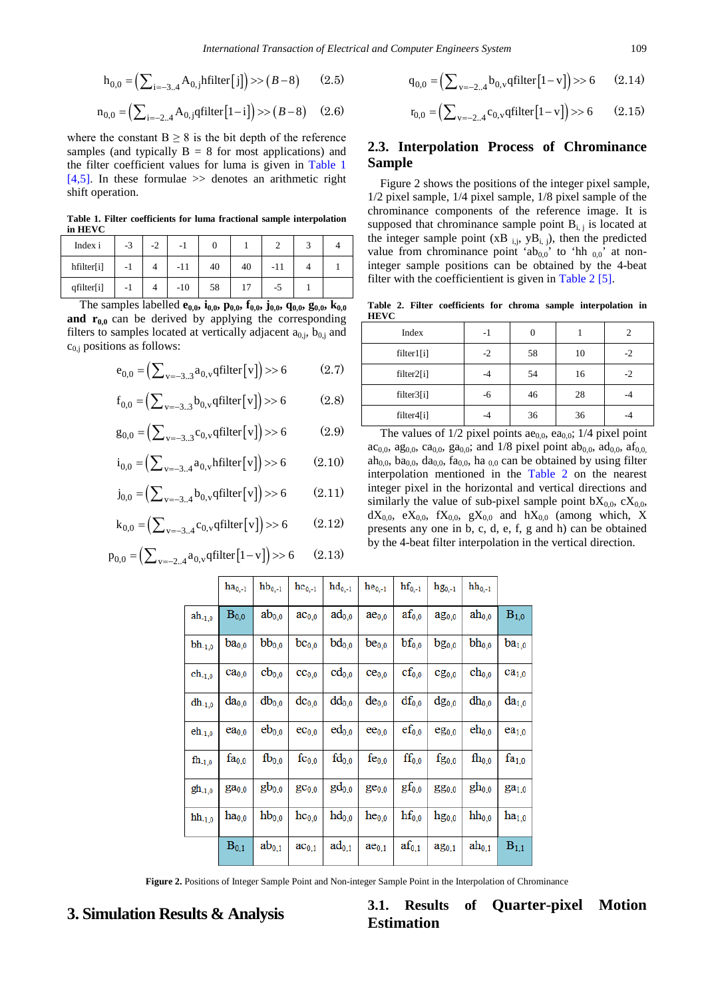$$
h_{0,0} = \left(\sum_{i=-3..4} A_{0,j} \text{hfilter}[j]\right) >> (B-8) \qquad (2.5)
$$

$$
n_{0,0} = \left(\sum_{i=-2..4} A_{0,j} \text{qfilter}\left[1-i\right]\right) >> \left(B-8\right) \quad (2.6)
$$

where the constant  $B \ge 8$  is the bit depth of the reference samples (and typically  $B = 8$  for most applications) and the filter coefficient values for luma is given in [Table 1](#page-2-0) [\[4,5\].](#page-6-3) In these formulae  $\gg$  denotes an arithmetic right shift operation.

**Table 1. Filter coefficients for luma fractional sample interpolation in HEVC**

<span id="page-2-0"></span>

| Index i    | $-3$ | $\sim$<br>-2 | -1    |    |    |     |  |
|------------|------|--------------|-------|----|----|-----|--|
| hfilter[i] | - 1  |              | $-11$ | 40 | 40 | -11 |  |
| qfilter[i] | - 1  |              | $-10$ | 58 |    | -3  |  |

The samples labelled **e**<sub>0,0</sub>, **i**<sub>0,0</sub>, **p**<sub>0,0</sub>, **f**<sub>0,0</sub>, **j**<sub>0,0</sub>, **q**<sub>0,0</sub>, **g**<sub>0,0</sub>, **k**<sub>0,0</sub> **and**  $r_{0,0}$  can be derived by applying the corresponding filters to samples located at vertically adjacent  $a_{0,i}$ ,  $b_{0,i}$  and  $c_{0,i}$  positions as follows:

$$
e_{0,0} = \left(\sum_{v=-3..3} a_{0,v} \text{qfilter}[v]\right) >> 6 \tag{2.7}
$$

$$
f_{0,0} = \left(\sum_{v=-3..3} b_{0,v} \text{qfilter}\left[v\right]\right) >> 6 \tag{2.8}
$$

$$
g_{0,0} = \left(\sum_{v=-3..3} c_{0,v} \text{qfilter}[v]\right) >> 6 \tag{2.9}
$$

$$
i_{0,0} = \left(\sum_{v=-3..4} a_{0,v} \text{hfilter}[v]\right) >> 6 \tag{2.10}
$$

$$
j_{0,0} = (\sum_{v=-3..4} b_{0,v} \text{qfilter}[v]) \gg 6
$$
 (2.11)

$$
k_{0,0} = \left(\sum_{v=-3..4} c_{0,v} \text{qfilter}[v]\right) >> 6 \qquad (2.12)
$$

$$
p_{0,0} = \left(\sum_{v=-2..4} a_{0,v} \text{qfilter}\left[1-v\right]\right) >> 6 \qquad (2.13)
$$

$$
q_{0,0} = \left(\sum_{v=-2..4} b_{0,v} \text{qfilter}\left[1-v\right]\right) >> 6 \qquad (2.14)
$$

$$
r_{0,0} = \left(\sum_{v=-2..4} c_{0,v} \text{qfilter}\left[1 - v\right]\right) >> 6 \qquad (2.15)
$$

#### **2.3. Interpolation Process of Chrominance Sample**

Figure 2 shows the positions of the integer pixel sample, 1/2 pixel sample, 1/4 pixel sample, 1/8 pixel sample of the chrominance components of the reference image. It is supposed that chrominance sample point  $B_{i,j}$  is located at the integer sample point  $(xB_{i,j}, yB_{i,j})$ , then the predicted value from chrominance point 'ab<sub>0,0</sub>' to 'hh <sub>0,0</sub>' at noninteger sample positions can be obtained by the 4-beat filter with the coefficientient is given i[n Table 2](#page-2-1) [\[5\].](#page-6-6)

**Table 2. Filter coefficients for chroma sample interpolation in HEVC**

<span id="page-2-1"></span>

| Index      | -1   | 0  |    | $\overline{c}$ |
|------------|------|----|----|----------------|
| filter1[i] | $-2$ | 58 | 10 | $-2$           |
| filter2[i] | -4   | 54 | 16 | $-2$           |
| filter3[i] | -6   | 46 | 28 |                |
| filter4[i] | -4   | 36 | 36 |                |

The values of  $1/2$  pixel points ae<sub>0,0</sub>, ea<sub>0,0</sub>;  $1/4$  pixel point ac<sub>0,0</sub>, ag<sub>0,0</sub>, ca<sub>0,0</sub>, ga<sub>0,0</sub>; and 1/8 pixel point ab<sub>0,0</sub>, ad<sub>0,0</sub>, af<sub>0,0</sub> ah<sub>0,0</sub>, ba<sub>0,0</sub>, da<sub>0,0</sub>, fa<sub>0,0</sub>, ha<sub>0,0</sub> can be obtained by using filter interpolation mentioned in the [Table 2](#page-2-1) on the nearest integer pixel in the horizontal and vertical directions and similarly the value of sub-pixel sample point  $bX_{0,0}$ ,  $cX_{0,0}$ ,  $dX_{0,0}$ ,  $eX_{0,0}$ ,  $fX_{0,0}$ ,  $gX_{0,0}$  and  $hX_{0,0}$  (among which, X presents any one in b, c, d, e, f, g and h) can be obtained by the 4-beat filter interpolation in the vertical direction.

|                                      | $ha_{0,-1}$       | $\mathbf{h}\mathbf{b}_{0,-1}$ | $hc_{0,-1}$       | $hd_{0,-1}$         | $he_{0,-1}$       | $\mathbf{hf}_{0,-1}$ | $hg_{0,-1}$         | $hh_{0,-1}$ |                   |
|--------------------------------------|-------------------|-------------------------------|-------------------|---------------------|-------------------|----------------------|---------------------|-------------|-------------------|
| $ah_{-1,0}$                          | $B_{0,0}$         | $ab_{0,0}$                    | $ac_{0,0}$        | $\mathrm{ad}_{0,0}$ | ae <sub>0,0</sub> | $af_{0,0}$           | $\rm{ag}_{0,0}$     | $ah_{0,0}$  | $B_{1,0}$         |
| $\rm bh_{\text{-}1,0}$               | $ba_{0,0}$        | $bb_{0,0}$                    | $bc_{0,0}$        | $bd_{0,0}$          | $be_{0,0}$        | $bf_{0,0}$           | $bg_{0,0}$          | $bh_{0,0}$  | $ba_{1,0}$        |
| $\mathrm{ch}_{\text{-}1,0}$          | ca <sub>0,0</sub> | $cb_{0,0}$                    | $cc_{0,0}$        | $cd_{0,0}$          | $ce_{0,0}$        | $\mathrm{cf}_{0,0}$  | $cg_{0,0}$          | $\ch_{0,0}$ | ca <sub>1,0</sub> |
| $\mathrm{d}\mathrm{h}_{\text{-}1,0}$ | $da_{0,0}$        | $db_{0,0}$                    | $dc_{0,0}$        | $dd_{0,0}$          | $de_{0,0}$        | $df_{0,0}$           | $dg_{0,0}$          | $dh_{0,0}$  | $da_{1,0}$        |
| $\mathrm{eh}_{\text{-}1,0}$          | ea <sub>0,0</sub> | $eb_{0,0}$                    | $ec_{0,0}$        | $ed_{0,0}$          | $ee_{0,0}$        | $\mathrm{ef}_{0,0}$  | $eg_{0,0}$          | $eh_{0,0}$  | ea <sub>1,0</sub> |
| $\rm{fh}_{\text{-}1,0}$              | $fa_{0,0}$        | $fb_{0,0}$                    | $fc_{0,0}$        | $fd_{0,0}$          | $fe_{0,0}$        | $\mathrm{ff}_{0,0}$  | $\mathrm{fg}_{0,0}$ | $fh_{0,0}$  | $fa_{1,0}$        |
| $gh_{-1,0}$                          | $ga_{0,0}$        | $gb_{0,0}$                    | gc <sub>0,0</sub> | $gd_{0,0}$          | $ge_{0,0}$        | $gf_{0,0}$           | gg <sub>0,0</sub>   | $gh_{0,0}$  | ga <sub>1,0</sub> |
| $hh_{-1,0}$                          | $ha_{0,0}$        | $hb_{0,0}$                    | $hc_{0,0}$        | $hd_{0,0}$          | $he_{0,0}$        | $hf_{0,0}$           | $\mathrm{hg}_{0,0}$ | $hh_{0,0}$  | $ha_{1,0}$        |
|                                      | $B_{0,1}$         | $ab_{0,1}$                    | $ac_{0,1}$        | $\mathrm{ad}_{0,1}$ | $ae_{0,1}$        | $af_{0,1}$           | $\rm{ag}_{0,1}$     | $ah_{0,1}$  | $B_{1,1}$         |

**Figure 2.** Positions of Integer Sample Point and Non-integer Sample Point in the Interpolation of Chrominance

**3. Simulation Results & Analysis 3.1. Results of Quarter-pixel Motion Estimation**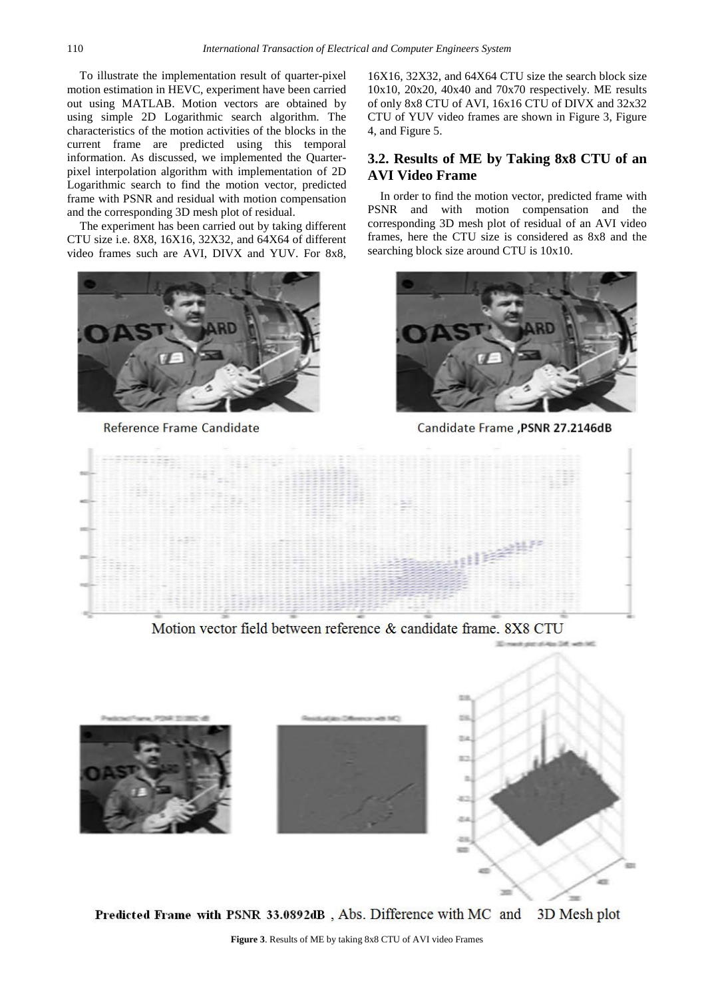To illustrate the implementation result of quarter-pixel motion estimation in HEVC, experiment have been carried out using MATLAB. Motion vectors are obtained by using simple 2D Logarithmic search algorithm. The characteristics of the motion activities of the blocks in the current frame are predicted using this temporal information. As discussed, we implemented the Quarterpixel interpolation algorithm with implementation of 2D Logarithmic search to find the motion vector, predicted frame with PSNR and residual with motion compensation and the corresponding 3D mesh plot of residual.

The experiment has been carried out by taking different CTU size i.e. 8X8, 16X16, 32X32, and 64X64 of different video frames such are AVI, DIVX and YUV. For 8x8,



Reference Frame Candidate

16X16, 32X32, and 64X64 CTU size the search block size 10x10, 20x20, 40x40 and 70x70 respectively. ME results of only 8x8 CTU of AVI, 16x16 CTU of DIVX and 32x32 CTU of YUV video frames are shown in Figure 3, Figure 4, and Figure 5.

#### **3.2. Results of ME by Taking 8x8 CTU of an AVI Video Frame**

In order to find the motion vector, predicted frame with PSNR and with motion compensation and the corresponding 3D mesh plot of residual of an AVI video frames, here the CTU size is considered as 8x8 and the searching block size around CTU is 10x10.



Candidate Frame, PSNR 27.2146dB



Motion vector field between reference & candidate frame. 8X8 CTU



Predicted Frame with PSNR 33.0892dB, Abs. Difference with MC and 3D Mesh plot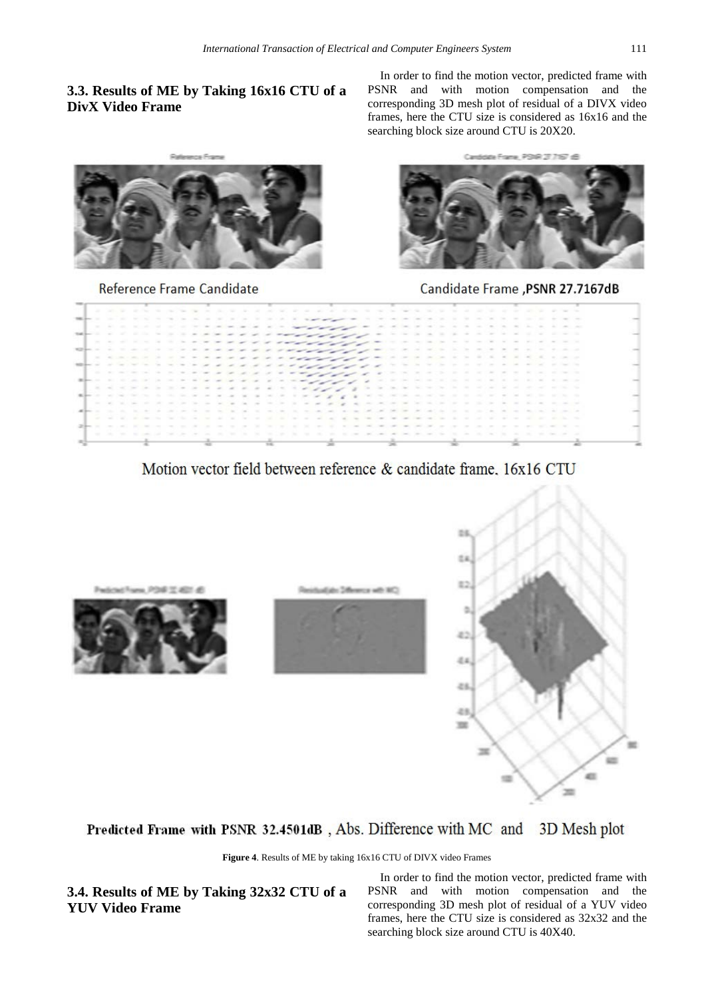# **3.3. Results of ME by Taking 16x16 CTU of a DivX Video Frame**

In order to find the motion vector, predicted frame with PSNR and with motion compensation and the corresponding 3D mesh plot of residual of a DIVX video frames, here the CTU size is considered as 16x16 and the searching block size around CTU is 20X20.



Reference Frame Candidate



Candidate Frame ,PSNR 27.7167dB

|  |  |  |                                              |  | A SECOND REPORT OF THE REPORT OF A SECOND POINT OF A SECOND REPORT OF THE REPORT OF A SECOND POINT OF A SECOND REPORT OF THE REPORT OF THE REPORT OF THE REPORT OF THE REPORT OF THE REPORT OF THE REPORT OF THE REPORT OF THE |   |  |  |  |  |         |                                                                                     |  |  |  |                                                                        |  |                                       |                            |                   |  |  |
|--|--|--|----------------------------------------------|--|--------------------------------------------------------------------------------------------------------------------------------------------------------------------------------------------------------------------------------|---|--|--|--|--|---------|-------------------------------------------------------------------------------------|--|--|--|------------------------------------------------------------------------|--|---------------------------------------|----------------------------|-------------------|--|--|
|  |  |  |                                              |  |                                                                                                                                                                                                                                |   |  |  |  |  |         |                                                                                     |  |  |  |                                                                        |  |                                       |                            |                   |  |  |
|  |  |  |                                              |  |                                                                                                                                                                                                                                |   |  |  |  |  |         |                                                                                     |  |  |  |                                                                        |  |                                       |                            |                   |  |  |
|  |  |  |                                              |  |                                                                                                                                                                                                                                |   |  |  |  |  |         |                                                                                     |  |  |  | the team of the team of the team of the second control of the team of  |  |                                       |                            |                   |  |  |
|  |  |  |                                              |  |                                                                                                                                                                                                                                |   |  |  |  |  |         |                                                                                     |  |  |  |                                                                        |  | .                                     |                            |                   |  |  |
|  |  |  |                                              |  |                                                                                                                                                                                                                                |   |  |  |  |  |         |                                                                                     |  |  |  |                                                                        |  |                                       |                            | <b>CONTRACTOR</b> |  |  |
|  |  |  |                                              |  |                                                                                                                                                                                                                                |   |  |  |  |  |         |                                                                                     |  |  |  |                                                                        |  |                                       | the company of the company |                   |  |  |
|  |  |  | the control of the control of the control of |  |                                                                                                                                                                                                                                | . |  |  |  |  |         |                                                                                     |  |  |  | The Control of the Con-                                                |  |                                       |                            |                   |  |  |
|  |  |  |                                              |  | the contract the contract of the contract and                                                                                                                                                                                  |   |  |  |  |  | ------- |                                                                                     |  |  |  |                                                                        |  | the term of the control of the term   |                            |                   |  |  |
|  |  |  |                                              |  |                                                                                                                                                                                                                                |   |  |  |  |  | ------- |                                                                                     |  |  |  |                                                                        |  |                                       |                            |                   |  |  |
|  |  |  |                                              |  | <b>IN ALL RESIDENTS IN A RESIDENT OF A RESIDENCE OF A RESIDENCE OF A RESIDENCE OF A RESIDENCE OF A RESIDENCE OF A</b>                                                                                                          |   |  |  |  |  |         |                                                                                     |  |  |  | the Charles and the Charles and the Charles and the Charles and        |  |                                       |                            |                   |  |  |
|  |  |  |                                              |  | selected to the first that the contract of the contract of the contract of the contract of the contract of the contract of the contract of the contract of the contract of the contract of the contract of the contract of the |   |  |  |  |  |         |                                                                                     |  |  |  | contract the party between the contract and the contract that the con- |  |                                       |                            |                   |  |  |
|  |  |  |                                              |  | A RESIDENCE RESERVATION OF A REGION OF A RECOVERY OF A CONSULTATION OF A RECOVERY OF A RECOVERY OF A RECOVERY OF A                                                                                                             |   |  |  |  |  |         |                                                                                     |  |  |  |                                                                        |  |                                       |                            |                   |  |  |
|  |  |  |                                              |  | affects that it is the top perfect to be a part of the control of the part of the                                                                                                                                              |   |  |  |  |  |         | the control of the control of the control of the control of the control of the con- |  |  |  |                                                                        |  |                                       |                            |                   |  |  |
|  |  |  |                                              |  | A 1979 FOR THE REPORT OF THE REPORT OF THE REPORT OF THE REPORT OF THE PHOTOGRAPH COMPANY OF THE REPORT OF THE REPORT OF THE REPORT OF THE REPORT OF THE REPORT OF THE REPORT OF THE REPORT OF THE REPORT OF THE REPORT OF THE |   |  |  |  |  |         |                                                                                     |  |  |  |                                                                        |  |                                       |                            |                   |  |  |
|  |  |  |                                              |  |                                                                                                                                                                                                                                |   |  |  |  |  |         |                                                                                     |  |  |  |                                                                        |  | the terms of the control and the con- |                            |                   |  |  |
|  |  |  |                                              |  | the contract of the contract contract of the contract of the contract of the contract of                                                                                                                                       |   |  |  |  |  |         | the control of the control of the control of the control of the control of          |  |  |  |                                                                        |  |                                       | the company's service and  |                   |  |  |
|  |  |  |                                              |  |                                                                                                                                                                                                                                |   |  |  |  |  |         |                                                                                     |  |  |  |                                                                        |  |                                       |                            |                   |  |  |

# Motion vector field between reference & candidate frame, 16x16 CTU



# Predicted Frame with PSNR 32.4501dB, Abs. Difference with MC and 3D Mesh plot

**Figure 4**. Results of ME by taking 16x16 CTU of DIVX video Frames

**3.4. Results of ME by Taking 32x32 CTU of a YUV Video Frame**

In order to find the motion vector, predicted frame with PSNR and with motion compensation and the corresponding 3D mesh plot of residual of a YUV video frames, here the CTU size is considered as 32x32 and the searching block size around CTU is 40X40.

 $\equiv$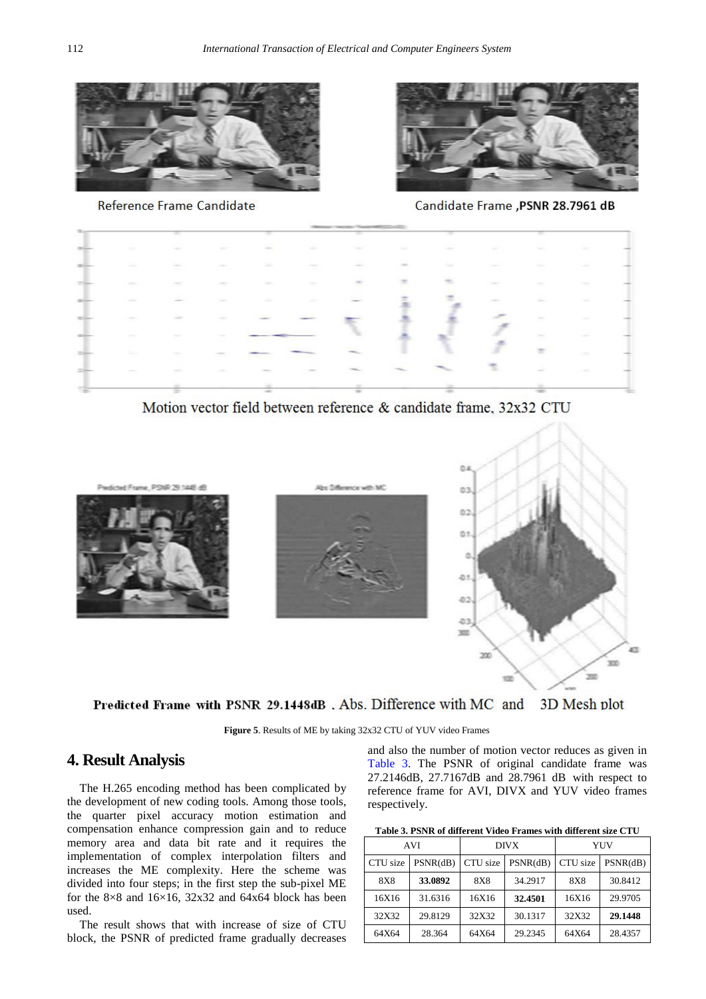

Reference Frame Candidate



Candidate Frame, PSNR 28.7961 dB

| <b>CONTRACTOR</b>                                                                                                                                                                                                                                                                                                                                                                                                                                                          | <b>CONTRACTOR</b>                         | <b>CONTRACTOR</b>                      | <b>COMMERCIAL</b><br>The project                                                                                 | $\sim$<br>Contractor of                                                                                                                                                                                                                                                                                                                                                                                                                                                                                                        | Company of Co.                                                                                                   | <b>CONTRACTOR</b>                                                                                                   | <b>COMPANY</b>          | $\sim$<br>and the control | <b>SEP</b><br><b>State of Lands</b>                                                                                                                                                                                                                                                                                                                                                                                                                                        | <b>CONTRACTOR</b> |  |
|----------------------------------------------------------------------------------------------------------------------------------------------------------------------------------------------------------------------------------------------------------------------------------------------------------------------------------------------------------------------------------------------------------------------------------------------------------------------------|-------------------------------------------|----------------------------------------|------------------------------------------------------------------------------------------------------------------|--------------------------------------------------------------------------------------------------------------------------------------------------------------------------------------------------------------------------------------------------------------------------------------------------------------------------------------------------------------------------------------------------------------------------------------------------------------------------------------------------------------------------------|------------------------------------------------------------------------------------------------------------------|---------------------------------------------------------------------------------------------------------------------|-------------------------|---------------------------|----------------------------------------------------------------------------------------------------------------------------------------------------------------------------------------------------------------------------------------------------------------------------------------------------------------------------------------------------------------------------------------------------------------------------------------------------------------------------|-------------------|--|
| <b>Contractor</b>                                                                                                                                                                                                                                                                                                                                                                                                                                                          | <b>CONTRACTOR</b><br><b>The Company's</b> | <b>Service</b>                         | <b>Service</b>                                                                                                   | colored in<br>---                                                                                                                                                                                                                                                                                                                                                                                                                                                                                                              | <b>Service</b>                                                                                                   | <b>CONTRACTOR</b><br>$\frac{1}{2} \left( \frac{1}{2} \right) \left( \frac{1}{2} \right) \left( \frac{1}{2} \right)$ | <b>Contract</b>         | <b>Service</b>            | <b>STATE</b>                                                                                                                                                                                                                                                                                                                                                                                                                                                               | <b>COMMA</b>      |  |
| $\frac{1}{2} \left( \frac{1}{2} \right) \left( \frac{1}{2} \right) \left( \frac{1}{2} \right) \left( \frac{1}{2} \right) \left( \frac{1}{2} \right) \left( \frac{1}{2} \right) \left( \frac{1}{2} \right) \left( \frac{1}{2} \right) \left( \frac{1}{2} \right) \left( \frac{1}{2} \right) \left( \frac{1}{2} \right) \left( \frac{1}{2} \right) \left( \frac{1}{2} \right) \left( \frac{1}{2} \right) \left( \frac{1}{2} \right) \left( \frac{1}{2} \right) \left( \frac$ |                                           | <b>HELL</b>                            | <b>County</b>                                                                                                    | <b>Contractor</b>                                                                                                                                                                                                                                                                                                                                                                                                                                                                                                              | <b>Service</b><br>$\frac{1}{2} \left( \frac{1}{2} \right) \left( \frac{1}{2} \right) \left( \frac{1}{2} \right)$ | ÷<br>$\sim$                                                                                                         | $\sim$                  | Company of                | <b>Secondary</b>                                                                                                                                                                                                                                                                                                                                                                                                                                                           | <b>Silvers</b>    |  |
| <b>STATE</b>                                                                                                                                                                                                                                                                                                                                                                                                                                                               | Commercial                                | <b>College College</b>                 | Commercial                                                                                                       | <b>Contract</b>                                                                                                                                                                                                                                                                                                                                                                                                                                                                                                                |                                                                                                                  |                                                                                                                     |                         | DOM: NO                   |                                                                                                                                                                                                                                                                                                                                                                                                                                                                            | <b>Chairman</b>   |  |
| <b>CONTRACTOR</b>                                                                                                                                                                                                                                                                                                                                                                                                                                                          | <b>CONTRACTOR</b>                         | <b>STATE</b>                           | <b>State of Con-</b>                                                                                             |                                                                                                                                                                                                                                                                                                                                                                                                                                                                                                                                |                                                                                                                  |                                                                                                                     |                         |                           | <b>Service</b>                                                                                                                                                                                                                                                                                                                                                                                                                                                             | <b>STATE</b>      |  |
| <b>COLL</b><br><b>CONTRACTOR</b>                                                                                                                                                                                                                                                                                                                                                                                                                                           | <b>COMPANY</b><br><b>CONTRACTOR</b>       | <b>Contractor</b>                      | and the control of the control of<br>the contract of the contract of the contract of                             | the control of the control                                                                                                                                                                                                                                                                                                                                                                                                                                                                                                     |                                                                                                                  |                                                                                                                     |                         |                           | ÷<br>$\frac{1}{2} \left( \frac{1}{2} \right) \left( \frac{1}{2} \right) \left( \frac{1}{2} \right)$                                                                                                                                                                                                                                                                                                                                                                        | <b>College</b>    |  |
| <b>College College</b>                                                                                                                                                                                                                                                                                                                                                                                                                                                     | <b>CONTRACTOR</b>                         | <b>COMMERCIAL</b><br><b>CONTRACTOR</b> | the company of the company of                                                                                    | ل المركز<br>$\frac{1}{2} \left( \frac{1}{2} \right) \left( \frac{1}{2} \right) \left( \frac{1}{2} \right) \left( \frac{1}{2} \right) \left( \frac{1}{2} \right) \left( \frac{1}{2} \right) \left( \frac{1}{2} \right) \left( \frac{1}{2} \right) \left( \frac{1}{2} \right) \left( \frac{1}{2} \right) \left( \frac{1}{2} \right) \left( \frac{1}{2} \right) \left( \frac{1}{2} \right) \left( \frac{1}{2} \right) \left( \frac{1}{2} \right) \left( \frac{1}{2} \right) \left( \frac$<br><b><i>CONSTRUCTION CONTINUES</i></b> |                                                                                                                  |                                                                                                                     |                         |                           | $\equiv$                                                                                                                                                                                                                                                                                                                                                                                                                                                                   | <b>COMPANY</b>    |  |
| <b>CONTRACTOR</b>                                                                                                                                                                                                                                                                                                                                                                                                                                                          | <b>COMMERCIAL</b>                         | <b>Contract</b>                        | College of                                                                                                       | $-0.001$                                                                                                                                                                                                                                                                                                                                                                                                                                                                                                                       |                                                                                                                  |                                                                                                                     | <b>Contractor</b>       |                           | $\frac{1}{2} \left( \frac{1}{2} \right) \left( \frac{1}{2} \right) \left( \frac{1}{2} \right) \left( \frac{1}{2} \right) \left( \frac{1}{2} \right) \left( \frac{1}{2} \right) \left( \frac{1}{2} \right) \left( \frac{1}{2} \right) \left( \frac{1}{2} \right) \left( \frac{1}{2} \right) \left( \frac{1}{2} \right) \left( \frac{1}{2} \right) \left( \frac{1}{2} \right) \left( \frac{1}{2} \right) \left( \frac{1}{2} \right) \left( \frac{1}{2} \right) \left( \frac$ | <b>COMMERCIAL</b> |  |
|                                                                                                                                                                                                                                                                                                                                                                                                                                                                            | <b>Service</b><br>÷                       |                                        | <b>COMPANY</b><br>$\frac{1}{2} \left( \frac{1}{2} \right) \left( \frac{1}{2} \right) \left( \frac{1}{2} \right)$ |                                                                                                                                                                                                                                                                                                                                                                                                                                                                                                                                | <b>STATE</b><br>$\frac{1}{2}$                                                                                    |                                                                                                                     | <b>CONTRACTOR</b><br>-- |                           | Total Color<br>--<br>$-$                                                                                                                                                                                                                                                                                                                                                                                                                                                   |                   |  |

Motion vector field between reference & candidate frame, 32x32 CTU



Predicted Frame with PSNR 29.1448dB, Abs. Difference with MC and 3D Mesh plot

**Figure 5**. Results of ME by taking 32x32 CTU of YUV video Frames

 $\blacksquare$ 

# **4. Result Analysis**

The H.265 encoding method has been complicated by the development of new coding tools. Among those tools, the quarter pixel accuracy motion estimation and compensation enhance compression gain and to reduce memory area and data bit rate and it requires the implementation of complex interpolation filters and increases the ME complexity. Here the scheme was divided into four steps; in the first step the sub-pixel ME for the  $8\times 8$  and  $16\times 16$ ,  $32\times 32$  and  $64\times 64$  block has been used.

The result shows that with increase of size of CTU block, the PSNR of predicted frame gradually decreases and also the number of motion vector reduces as given in [Table 3.](#page-5-0) The PSNR of original candidate frame was 27.2146dB, 27.7167dB and 28.7961 dB with respect to reference frame for AVI, DIVX and YUV video frames respectively.

| Table 3. PSNR of different Video Frames with different size CTU |  |  |
|-----------------------------------------------------------------|--|--|
|                                                                 |  |  |

<span id="page-5-0"></span>

|            | <b>AVI</b> |            | <b>DIVX</b> | YUV                  |         |  |  |  |  |
|------------|------------|------------|-------------|----------------------|---------|--|--|--|--|
| CTU size   | PSNR(dB)   | CTU size   | PSNR(dB)    | CTU size<br>PSNR(dB) |         |  |  |  |  |
| <b>8X8</b> | 33.0892    | <b>8X8</b> | 34.2917     | <b>8X8</b>           | 30.8412 |  |  |  |  |
| 16X16      | 31.6316    | 16X16      | 32.4501     | 16X16                | 29.9705 |  |  |  |  |
| 32X32      | 29.8129    | 32X32      | 30.1317     | 32X32                | 29.1448 |  |  |  |  |
| 64X64      | 28.364     | 64X64      | 29.2345     | 64X64                | 28.4357 |  |  |  |  |